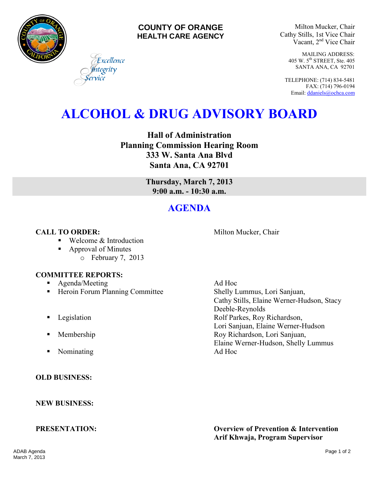

### **COUNTY OF ORANGE HEALTH CARE AGENCY**

Milton Mucker, Chair Cathy Stills, 1st Vice Chair Vacant, 2nd Vice Chair

> MAILING ADDRESS: 405 W. 5th STREET, Ste. 405 SANTA ANA, CA 92701

TELEPHONE: (714) 834-5481 FAX: (714) 796-0194 Email[: ddaniels@ochca.com](mailto:ddaniels@ochca.com)

# **ALCOHOL & DRUG ADVISORY BOARD**

**Hall of Administration Planning Commission Hearing Room 333 W. Santa Ana Blvd Santa Ana, CA 92701** 

> **Thursday, March 7, 2013 9:00 a.m. - 10:30 a.m.**

## **AGENDA**

### **CALL TO ORDER:** Milton Mucker, Chair

■ Welcome & Introduction

Excellence tegrity

■ Approval of Minutes o February 7, 2013

### **COMMITTEE REPORTS:**

- **Agenda/Meeting Ad Hoc**
- Heroin Forum Planning Committee Shelly Lummus, Lori Sanjuan,
- 
- 
- Nominating Ad Hoc

### **OLD BUSINESS:**

**NEW BUSINESS:** 

Cathy Stills, Elaine Werner-Hudson, Stacy Deeble-Reynolds **Example 3** Legislation **Rolf Parkes, Roy Richardson,** Lori Sanjuan, Elaine Werner-Hudson **Membership Roy Richardson, Lori Sanjuan,** Elaine Werner-Hudson, Shelly Lummus

**PRESENTATION: Overview of Prevention & Intervention Arif Khwaja, Program Supervisor**